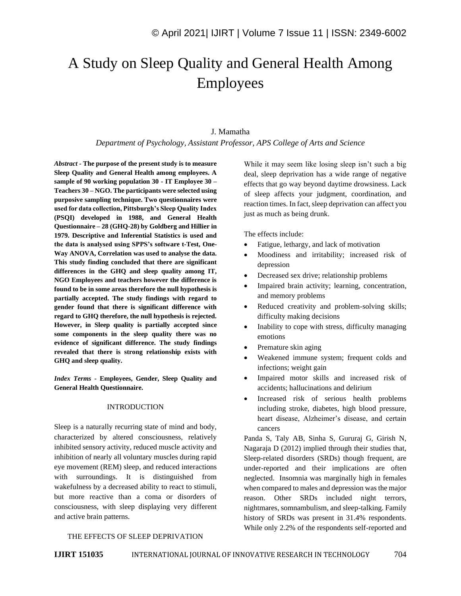# A Study on Sleep Quality and General Health Among Employees

#### J. Mamatha

#### *Department of Psychology, Assistant Professor, APS College of Arts and Science*

*Abstract -* **The purpose of the present study is to measure Sleep Quality and General Health among employees. A sample of 90 working population 30 - IT Employee 30 – Teachers 30 – NGO. The participants were selected using purposive sampling technique. Two questionnaires were used for data collection, Pittsburgh's Sleep Quality Index (PSQI) developed in 1988, and General Health Questionnaire – 28 (GHQ-28) by Goldberg and Hillier in 1979. Descriptive and Inferential Statistics is used and the data is analysed using SPPS's software t-Test, One-Way ANOVA, Correlation was used to analyse the data. This study finding concluded that there are significant differences in the GHQ and sleep quality among IT, NGO Employees and teachers however the difference is found to be in some areas therefore the null hypothesis is partially accepted. The study findings with regard to gender found that there is significant difference with regard to GHQ therefore, the null hypothesis is rejected. However, in Sleep quality is partially accepted since some components in the sleep quality there was no evidence of significant difference. The study findings revealed that there is strong relationship exists with GHQ and sleep quality.**

*Index Terms -* **Employees, Gender, Sleep Quality and General Health Questionnaire.**

#### INTRODUCTION

Sleep is a naturally recurring state of mind and body, characterized by altered consciousness, relatively inhibited sensory activity, reduced muscle activity and inhibition of nearly all voluntary muscles during rapid eye movement (REM) sleep, and reduced interactions with surroundings. It is distinguished from wakefulness by a decreased ability to react to stimuli, but more reactive than a coma or disorders of consciousness, with sleep displaying very different and active brain patterns.

While it may seem like losing sleep isn't such a big deal, sleep deprivation has a wide range of negative effects that go way beyond daytime drowsiness. Lack of sleep affects your judgment, coordination, and reaction times. In fact, sleep deprivation can affect you just as much as being drunk.

The effects include:

- Fatigue, lethargy, and lack of motivation
- Moodiness and irritability; increased risk of depression
- Decreased sex drive; relationship problems
- Impaired brain activity; learning, concentration, and memory problems
- Reduced creativity and problem-solving skills; difficulty making decisions
- Inability to cope with stress, difficulty managing emotions
- Premature skin aging
- Weakened immune system; frequent colds and infections; weight gain
- Impaired motor skills and increased risk of accidents; hallucinations and delirium
- Increased risk of serious health problems including stroke, diabetes, high blood pressure, heart disease, Alzheimer's disease, and certain cancers

Panda S, Taly AB, Sinha S, Gururaj G, Girish N, Nagaraja D (2012) implied through their studies that, Sleep-related disorders (SRDs) though frequent, are under-reported and their implications are often neglected. Insomnia was marginally high in females when compared to males and depression was the major reason. Other SRDs included night terrors, nightmares, somnambulism, and sleep-talking. Family history of SRDs was present in 31.4% respondents. While only 2.2% of the respondents self-reported and

#### THE EFFECTS OF SLEEP DEPRIVATION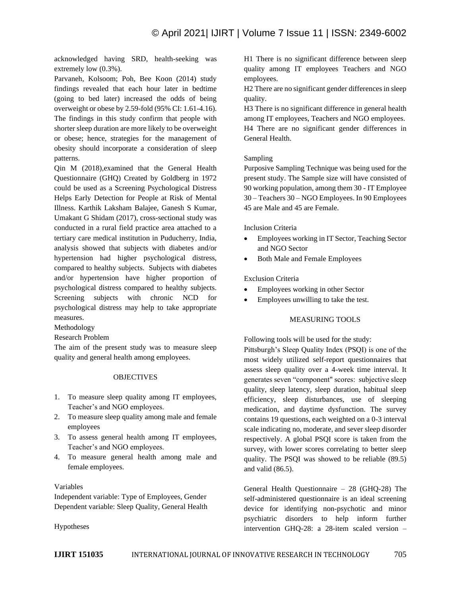acknowledged having SRD, health-seeking was extremely low (0.3%).

Parvaneh, Kolsoom; Poh, Bee Koon (2014) study findings revealed that each hour later in bedtime (going to bed later) increased the odds of being overweight or obese by 2.59-fold (95% CI: 1.61-4.16). The findings in this study confirm that people with shorter sleep duration are more likely to be overweight or obese; hence, strategies for the management of obesity should incorporate a consideration of sleep patterns.

Qin M (2018),examined that the General Health Questionnaire (GHQ) Created by Goldberg in 1972 could be used as a Screening Psychological Distress Helps Early Detection for People at Risk of Mental Illness. Karthik Laksham Balajee, Ganesh S Kumar, Umakant G Shidam (2017), cross-sectional study was conducted in a rural field practice area attached to a tertiary care medical institution in Puducherry, India, analysis showed that subjects with diabetes and/or hypertension had higher psychological distress, compared to healthy subjects. Subjects with diabetes and/or hypertension have higher proportion of psychological distress compared to healthy subjects. Screening subjects with chronic NCD for psychological distress may help to take appropriate measures.

Methodology

Research Problem

The aim of the present study was to measure sleep quality and general health among employees.

#### OBJECTIVES

- 1. To measure sleep quality among IT employees, Teacher's and NGO employees.
- 2. To measure sleep quality among male and female employees
- 3. To assess general health among IT employees, Teacher's and NGO employees.
- 4. To measure general health among male and female employees.

#### Variables

Independent variable: Type of Employees, Gender Dependent variable: Sleep Quality, General Health

Hypotheses

H1 There is no significant difference between sleep quality among IT employees Teachers and NGO employees.

H2 There are no significant gender differences in sleep quality.

H3 There is no significant difference in general health among IT employees, Teachers and NGO employees. H4 There are no significant gender differences in General Health.

#### Sampling

Purposive Sampling Technique was being used for the present study. The Sample size will have consisted of 90 working population, among them 30 - IT Employee 30 – Teachers 30 – NGO Employees. In 90 Employees 45 are Male and 45 are Female.

#### Inclusion Criteria

- Employees working in IT Sector, Teaching Sector and NGO Sector
- Both Male and Female Employees

#### Exclusion Criteria

- Employees working in other Sector
- Employees unwilling to take the test.

#### MEASURING TOOLS

Following tools will be used for the study:

Pittsburgh's Sleep Quality Index (PSQI) is one of the most widely utilized self-report questionnaires that assess sleep quality over a 4-week time interval. It generates seven "component" scores: subjective sleep quality, sleep latency, sleep duration, habitual sleep efficiency, sleep disturbances, use of sleeping medication, and daytime dysfunction. The survey contains 19 questions, each weighted on a 0-3 interval scale indicating no, moderate, and sever sleep disorder respectively. A global PSQI score is taken from the survey, with lower scores correlating to better sleep quality. The PSQI was showed to be reliable (89.5) and valid (86.5).

General Health Questionnaire – 28 (GHQ-28) The self-administered questionnaire is an ideal screening device for identifying non-psychotic and minor psychiatric disorders to help inform further intervention GHQ-28: a 28-item scaled version –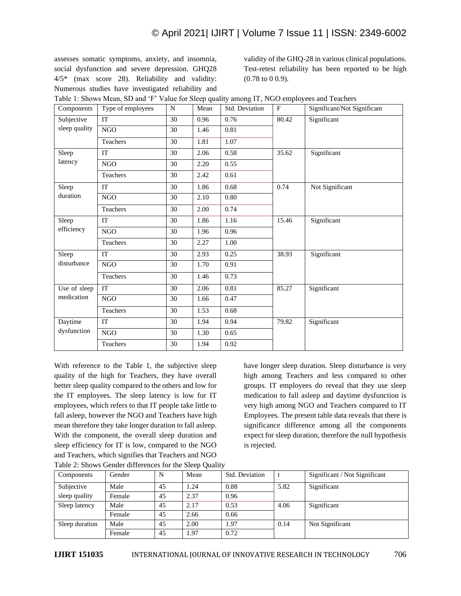### © April 2021| IJIRT | Volume 7 Issue 11 | ISSN: 2349-6002

assesses somatic symptoms, anxiety, and insomnia, social dysfunction and severe depression. GHQ28 4/5\* (max score 28). Reliability and validity: Numerous studies have investigated reliability and validity of the GHQ-28 in various clinical populations. Test-retest reliability has been reported to be high (0.78 to 0 0.9).

| Components          | Type of employees | $\mathbf N$ | Mean | Std. Deviation | F     | Significant/Not Significant |
|---------------------|-------------------|-------------|------|----------------|-------|-----------------------------|
| Subjective          | <b>IT</b>         | 30          | 0.96 | 0.76           | 80.42 | Significant                 |
| sleep quality       | <b>NGO</b>        | 30          | 1.46 | 0.81           |       |                             |
|                     | Teachers          | 30          | 1.81 | 1.07           |       |                             |
| Sleep               | <b>IT</b>         | 30          | 2.06 | 0.58           | 35.62 | Significant                 |
| latency             | <b>NGO</b>        | 30          | 2.20 | 0.55           |       |                             |
|                     | Teachers          | 30          | 2.42 | 0.61           |       |                             |
| Sleep               | IT                | 30          | 1.86 | 0.68           | 0.74  | Not Significant             |
| duration            | NGO               | 30          | 2.10 | 0.80           |       |                             |
|                     | Teachers          | 30          | 2.00 | 0.74           |       |                             |
| Sleep<br>efficiency | IT                | 30          | 1.86 | 1.16           | 15.46 | Significant                 |
|                     | <b>NGO</b>        | 30          | 1.96 | 0.96           |       |                             |
|                     | Teachers          | 30          | 2.27 | 1.00           |       |                             |
| Sleep               | IT                | 30          | 2.93 | 0.25           | 38.93 | Significant                 |
| disturbance         | <b>NGO</b>        | 30          | 1.70 | 0.91           |       |                             |
|                     | Teachers          | 30          | 1.46 | 0.73           |       |                             |
| Use of sleep        | <b>IT</b>         | 30          | 2.06 | 0.81           | 85.27 | Significant                 |
| medication          | <b>NGO</b>        | 30          | 1.66 | 0.47           |       |                             |
|                     | Teachers          | 30          | 1.53 | 0.68           |       |                             |
| Daytime             | IT                | 30          | 1.94 | 0.94           | 79.82 | Significant                 |
| dysfunction         | <b>NGO</b>        | 30          | 1.30 | 0.65           |       |                             |
|                     | Teachers          | 30          | 1.94 | 0.92           |       |                             |

Table 1: Shows Mean, SD and 'F' Value for Sleep quality among IT, NGO employees and Teachers

With reference to the Table 1, the subjective sleep quality of the high for Teachers, they have overall better sleep quality compared to the others and low for the IT employees. The sleep latency is low for IT employees, which refers to that IT people take little to fall asleep, however the NGO and Teachers have high mean therefore they take longer duration to fall asleep. With the component, the overall sleep duration and sleep efficiency for IT is low, compared to the NGO and Teachers, which signifies that Teachers and NGO Table 2: Shows Gender differences for the Sleep Quality have longer sleep duration. Sleep disturbance is very high among Teachers and less compared to other groups. IT employees do reveal that they use sleep medication to fall asleep and daytime dysfunction is very high among NGO and Teachers compared to IT Employees. The present table data reveals that there is significance difference among all the components expect for sleep duration, therefore the null hypothesis is rejected.

| Table 2. Shows Ochuci uniclences for the site p Quality |        |    |      |                |      |                               |  |  |
|---------------------------------------------------------|--------|----|------|----------------|------|-------------------------------|--|--|
| Components                                              | Gender | N  | Mean | Std. Deviation |      | Significant / Not Significant |  |  |
| Subjective                                              | Male   | 45 | 1.24 | 0.88           | 5.82 | Significant                   |  |  |
| sleep quality                                           | Female | 45 | 2.37 | 0.96           |      |                               |  |  |
| Sleep latency                                           | Male   | 45 | 2.17 | 0.53           | 4.06 | Significant                   |  |  |
|                                                         | Female | 45 | 2.66 | 0.66           |      |                               |  |  |
| Sleep duration                                          | Male   | 45 | 2.00 | 1.97           | 0.14 | Not Significant               |  |  |
|                                                         | Female | 45 | 1.97 | 0.72           |      |                               |  |  |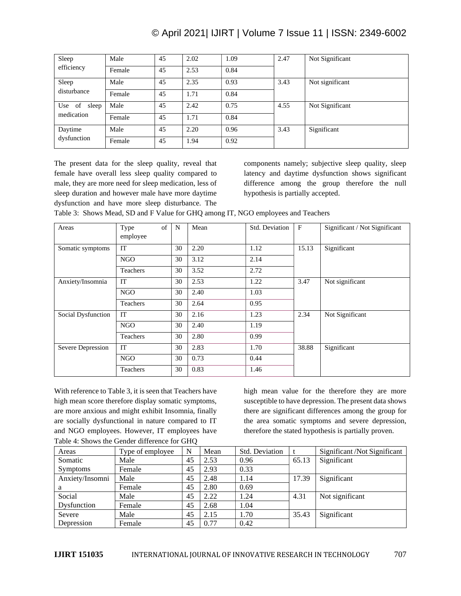## © April 2021| IJIRT | Volume 7 Issue 11 | ISSN: 2349-6002

| Sleep                         | Male   | 45 | 2.02 | . 09 | 2.47 | Not Significant |
|-------------------------------|--------|----|------|------|------|-----------------|
| efficiency                    | Female | 45 | 2.53 | 0.84 |      |                 |
| Sleep                         | Male   | 45 | 2.35 | 0.93 | 3.43 | Not significant |
| disturbance                   | Female | 45 | 1.71 | 0.84 |      |                 |
| Use of<br>sleep<br>medication | Male   | 45 | 2.42 | 0.75 | 4.55 | Not Significant |
|                               | Female | 45 | 1.71 | 0.84 |      |                 |
| Daytime<br>dysfunction        | Male   | 45 | 2.20 | 0.96 | 3.43 | Significant     |
|                               | Female | 45 | 1.94 | 0.92 |      |                 |

The present data for the sleep quality, reveal that female have overall less sleep quality compared to male, they are more need for sleep medication, less of sleep duration and however male have more daytime dysfunction and have more sleep disturbance. The

components namely; subjective sleep quality, sleep latency and daytime dysfunction shows significant difference among the group therefore the null hypothesis is partially accepted.

Table 3: Shows Mead, SD and F Value for GHQ among IT, NGO employees and Teachers

| Areas              | of<br>Type<br>employee | N  | Mean | Std. Deviation | $\mathbf{F}$ | Significant / Not Significant |
|--------------------|------------------------|----|------|----------------|--------------|-------------------------------|
| Somatic symptoms   | <b>IT</b>              | 30 | 2.20 | 1.12           | 15.13        | Significant                   |
|                    | NGO                    | 30 | 3.12 | 2.14           |              |                               |
|                    | Teachers               | 30 | 3.52 | 2.72           |              |                               |
| Anxiety/Insomnia   | IT                     | 30 | 2.53 | 1.22           | 3.47         | Not significant               |
|                    | NGO                    | 30 | 2.40 | 1.03           |              |                               |
|                    | Teachers               | 30 | 2.64 | 0.95           |              |                               |
| Social Dysfunction | IT                     | 30 | 2.16 | 1.23           | 2.34         | Not Significant               |
|                    | NGO                    | 30 | 2.40 | 1.19           |              |                               |
|                    | Teachers               | 30 | 2.80 | 0.99           |              |                               |
| Severe Depression  | <b>IT</b>              | 30 | 2.83 | 1.70           | 38.88        | Significant                   |
|                    | NGO                    | 30 | 0.73 | 0.44           |              |                               |
|                    | Teachers               | 30 | 0.83 | 1.46           |              |                               |

With reference to Table 3, it is seen that Teachers have high mean score therefore display somatic symptoms, are more anxious and might exhibit Insomnia, finally are socially dysfunctional in nature compared to IT and NGO employees. However, IT employees have Table 4: Shows the Gender difference for GHQ

high mean value for the therefore they are more susceptible to have depression. The present data shows there are significant differences among the group for the area somatic symptoms and severe depression, therefore the stated hypothesis is partially proven.

| Areas           | Type of employee | N  | Mean | Std. Deviation |       | Significant/Not Significant |
|-----------------|------------------|----|------|----------------|-------|-----------------------------|
| Somatic         | Male             | 45 | 2.53 | 0.96           | 65.13 | Significant                 |
| <b>Symptoms</b> | Female           | 45 | 2.93 | 0.33           |       |                             |
| Anxiety/Insomni | Male             | 45 | 2.48 | 1.14           | 17.39 | Significant                 |
| a               | Female           | 45 | 2.80 | 0.69           |       |                             |
| Social          | Male             | 45 | 2.22 | 1.24           | 4.31  | Not significant             |
| Dysfunction     | Female           | 45 | 2.68 | 1.04           |       |                             |
| Severe          | Male             | 45 | 2.15 | 1.70           | 35.43 | Significant                 |
| Depression      | Female           | 45 | 0.77 | 0.42           |       |                             |